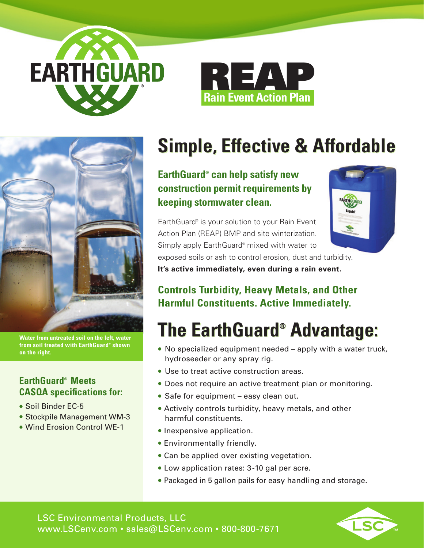





**Water from untreated soil on the left, water from soil treated with EarthGuard® shown on the right.**

### **EarthGuard® Meets CASQA specifications for:**

- Soil Binder EC-5
- Stockpile Management WM-3
- Wind Erosion Control WE-1

## **Simple, Effective & Affordable Simple, Effective & Affordable**

**EarthGuard® can help satisfy new EarthGuard® can help satisfy new construction permit requirements by construction permit requirements by keeping stormwater clean. keeping stormwater clean.** 

EarthGuard® is your solution to your Rain Event EarthGuard® is your solution to your Rain Event Action Plan (REAP) BMP and site winterization. Action Plan (REAP) BMP and site winterization. Simply apply EarthGuard® mixed with water to Simply apply EarthGuard® mixed with water to



exposed soils or ash to control erosion, dust and turbidity. exposed soils or ash to control erosion, dust and turbidity. **It's active immediately, even during a rain event. It's active immediately, even during a rain event.**

## **Controls Turbidity, Heavy Metals, and Other Controls Turbidity, Heavy Metals, and Other Harmful Constituents. Active Immediately. Harmful Constituents. Active Immediately.**

# **The EarthGuard® Advantage: The EarthGuard® Advantage:**

- No specialized equipment needed apply with a water truck, hydroseeder or any spray rig.
- Use to treat active construction areas.
- Does not require an active treatment plan or monitoring.
- Safe for equipment easy clean out.
- Actively controls turbidity, heavy metals, and other harmful constituents.
- Inexpensive application.
- Environmentally friendly.
- Can be applied over existing vegetation.
- Low application rates: 3-10 gal per acre.
- Packaged in 5 gallon pails for easy handling and storage.

LSC Environmental Products, LLC www.LSCenv.com • sales@LSCenv.com • 800-800-7671